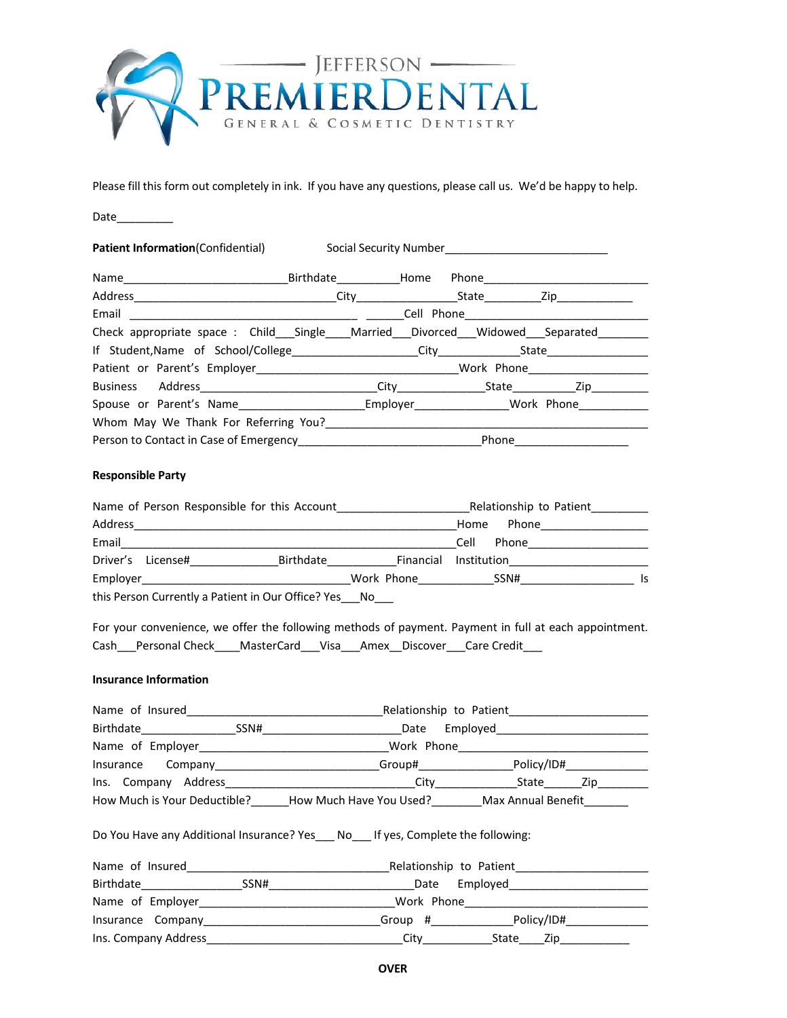

Please fill this form out completely in ink. If you have any questions, please call us. We'd be happy to help.

Date\_\_\_\_\_\_\_\_\_

Patient Information(Confidential) Social Security Number\_\_\_\_\_\_\_\_\_\_\_\_\_\_\_\_\_\_\_\_\_\_\_\_

|                                                                               | Birthdate Home |  |       |                     |
|-------------------------------------------------------------------------------|----------------|--|-------|---------------------|
|                                                                               |                |  |       | City State Zip City |
|                                                                               |                |  |       |                     |
| Check appropriate space: Child Single Married Divorced Widowed Separated      |                |  |       |                     |
|                                                                               |                |  |       |                     |
|                                                                               |                |  |       |                     |
| Business Address <b>and Automobile City</b> City <b>City</b> State <b>2ip</b> |                |  |       |                     |
| Spouse or Parent's Name The Second Employer The Work Phone                    |                |  |       |                     |
| Whom May We Thank For Referring You?                                          |                |  |       |                     |
|                                                                               |                |  | Phone |                     |

# **Responsible Party**

| Name of Person Responsible for this Account |                                                       |           | Relationship to Patient |               |     |
|---------------------------------------------|-------------------------------------------------------|-----------|-------------------------|---------------|-----|
| Address                                     |                                                       |           |                         | Phone<br>Home |     |
| Email                                       |                                                       |           |                         | Phone<br>Cell |     |
| Driver's License#                           |                                                       | Birthdate | Financial               | Institution   |     |
| Employer                                    |                                                       |           | Work Phone              | SSN#          | Is. |
|                                             | this Person Currently a Patient in Our Office? Yes No |           |                         |               |     |

For your convenience, we offer the following methods of payment. Payment in full at each appointment. Cash\_\_\_Personal Check\_\_\_\_MasterCard\_\_\_Visa\_\_\_Amex\_\_Discover\_\_\_Care Credit\_\_\_

# **Insurance Information**

| Name of Insured <b>Exercise 2020</b> Relationship to Patient <b>Constanting Construction</b>                                                                                                                                   |  |
|--------------------------------------------------------------------------------------------------------------------------------------------------------------------------------------------------------------------------------|--|
|                                                                                                                                                                                                                                |  |
|                                                                                                                                                                                                                                |  |
| Insurance Company_________________________Group#________________________________                                                                                                                                               |  |
|                                                                                                                                                                                                                                |  |
| How Much is Your Deductible? How Much Have You Used? Max Annual Benefit                                                                                                                                                        |  |
| Do You Have any Additional Insurance? Yes No If yes, Complete the following:                                                                                                                                                   |  |
|                                                                                                                                                                                                                                |  |
|                                                                                                                                                                                                                                |  |
| Name of Employer and Communication of Employer and Communication of Employer and Communication of Employer and Communication of the Communication of the Communication of the Communication of the Communication of the Commun |  |
| Insurance Company Changes and Company Company Company Company Company Company Company Company Company Company C                                                                                                                |  |
|                                                                                                                                                                                                                                |  |